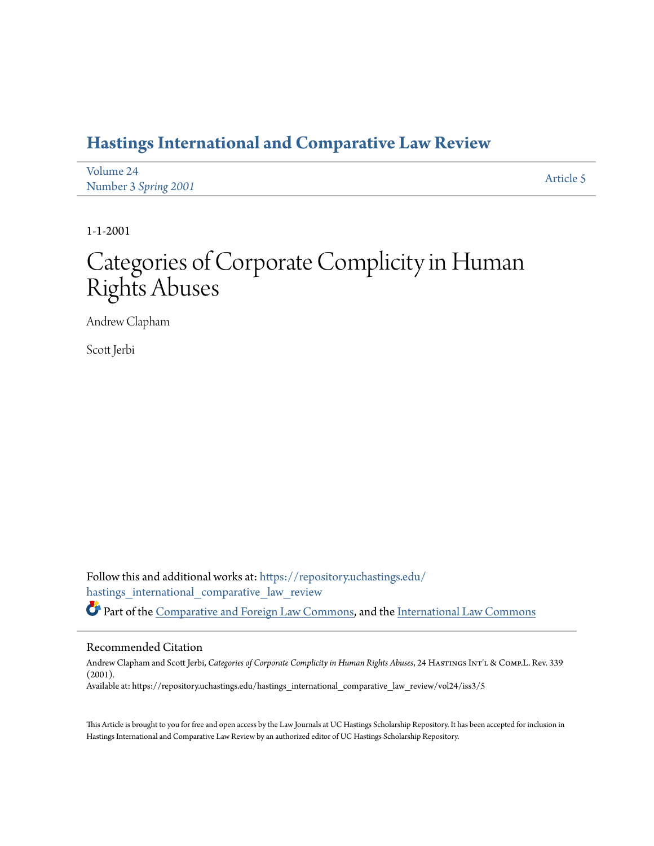# **[Hastings International and Comparative Law Review](https://repository.uchastings.edu/hastings_international_comparative_law_review?utm_source=repository.uchastings.edu%2Fhastings_international_comparative_law_review%2Fvol24%2Fiss3%2F5&utm_medium=PDF&utm_campaign=PDFCoverPages)**

| Volume 24            | Article 5 |
|----------------------|-----------|
| Number 3 Spring 2001 |           |

1-1-2001

# Categories of Corporate Complicity in Human Rights Abuses

Andrew Clapham

Scott Jerbi

Follow this and additional works at: [https://repository.uchastings.edu/](https://repository.uchastings.edu/hastings_international_comparative_law_review?utm_source=repository.uchastings.edu%2Fhastings_international_comparative_law_review%2Fvol24%2Fiss3%2F5&utm_medium=PDF&utm_campaign=PDFCoverPages) [hastings\\_international\\_comparative\\_law\\_review](https://repository.uchastings.edu/hastings_international_comparative_law_review?utm_source=repository.uchastings.edu%2Fhastings_international_comparative_law_review%2Fvol24%2Fiss3%2F5&utm_medium=PDF&utm_campaign=PDFCoverPages) Part of the [Comparative and Foreign Law Commons](http://network.bepress.com/hgg/discipline/836?utm_source=repository.uchastings.edu%2Fhastings_international_comparative_law_review%2Fvol24%2Fiss3%2F5&utm_medium=PDF&utm_campaign=PDFCoverPages), and the [International Law Commons](http://network.bepress.com/hgg/discipline/609?utm_source=repository.uchastings.edu%2Fhastings_international_comparative_law_review%2Fvol24%2Fiss3%2F5&utm_medium=PDF&utm_campaign=PDFCoverPages)

#### Recommended Citation

Andrew Clapham and Scott Jerbi, *Categories of Corporate Complicity in Human Rights Abuses*, 24 HastingsInt'l & Comp.L. Rev. 339 (2001). Available at: https://repository.uchastings.edu/hastings\_international\_comparative\_law\_review/vol24/iss3/5

This Article is brought to you for free and open access by the Law Journals at UC Hastings Scholarship Repository. It has been accepted for inclusion in Hastings International and Comparative Law Review by an authorized editor of UC Hastings Scholarship Repository.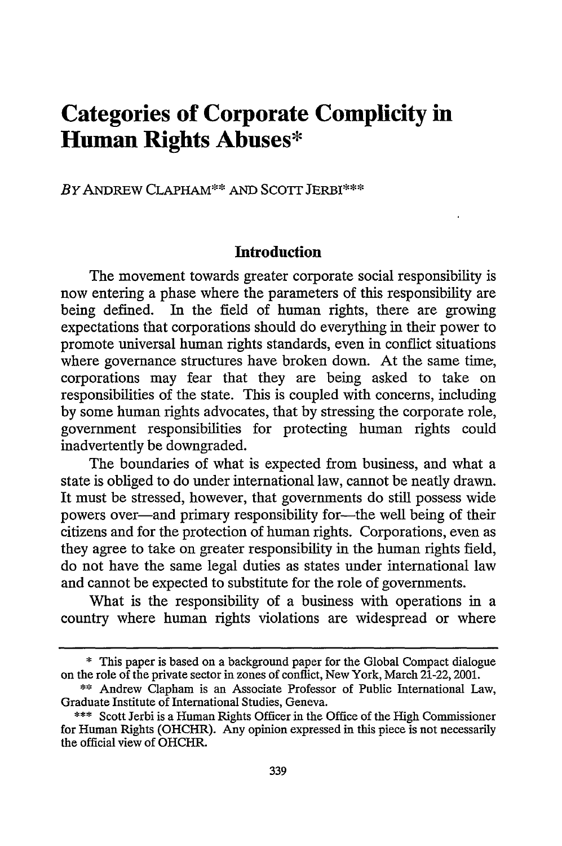# **Categories of Corporate Complicity in Human Rights Abuses\***

*BY* ANDREW CLAPHAM\*\* AND SCOTr JERBI\*\*\*

#### **Introduction**

The movement towards greater corporate social responsibility is now entering a phase where the parameters of this responsibility are being defined. In the field of human rights, there are growing expectations that corporations should do everything in their power to promote universal human rights standards, even in conflict situations where governance structures have broken down. At the same time, corporations may fear that they are being asked to take on responsibilities of the state. This is coupled with concerns, including by some human rights advocates, that by stressing the corporate role, government responsibilities for protecting human rights could inadvertently be downgraded.

The boundaries of what is expected from business, and what a state is obliged to do under international law, cannot be neatly drawn. It must be stressed, however, that governments do still possess wide powers over-and primary responsibility for-the well being of their citizens and for the protection of human rights. Corporations, even as they agree to take on greater responsibility in the human rights field, do not have the same legal duties as states under international law and cannot be expected to substitute for the role of governments.

What is the responsibility of a business with operations in a country where human rights violations are widespread or where

<sup>\*</sup> This paper is based on a background paper for the Global Compact dialogue on the role of the private sector in zones of conflict, New York, March 21-22, 2001.

<sup>\*\*</sup> Andrew Clapham is an Associate Professor of Public International Law, Graduate Institute of International Studies, Geneva.

<sup>\*\*\*</sup> Scott Jerbi is a Human Rights Officer in the Office of the High Commissioner for Human Rights (OHCHR). Any opinion expressed in this piece is not necessarily the official view of OHCHR.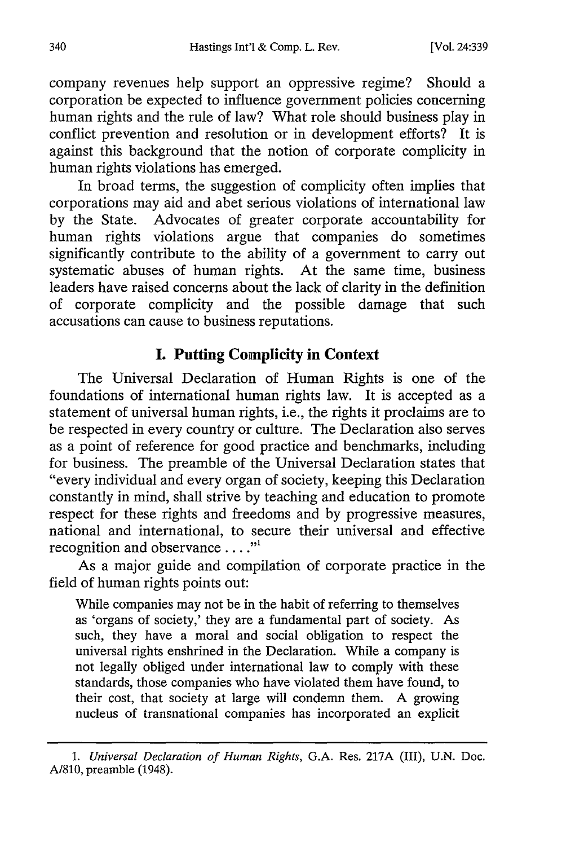company revenues help support an oppressive regime? Should a corporation be expected to influence government policies concerning human rights and the rule of law? What role should business play in conflict prevention and resolution or in development efforts? It is against this background that the notion of corporate complicity in human rights violations has emerged.

In broad terms, the suggestion of complicity often implies that corporations may aid and abet serious violations of international law by the State. Advocates of greater corporate accountability for human rights violations argue that companies do sometimes significantly contribute to the ability of a government to carry out systematic abuses of human rights. At the same time, business leaders have raised concerns about the lack of clarity in the definition of corporate complicity and the possible damage that such accusations can cause to business reputations.

## **I. Putting Complicity in Context**

The Universal Declaration of Human Rights is one of the foundations of international human rights law. It is accepted as a statement of universal human rights, i.e., the rights it proclaims are to be respected in every country or culture. The Declaration also serves as a point of reference for good practice and benchmarks, including for business. The preamble of the Universal Declaration states that "every individual and every organ of society, keeping this Declaration constantly in mind, shall strive **by** teaching and education to promote respect for these rights and freedoms and by progressive measures, national and international, to secure their universal and effective recognition and observance  $\dots$ ."

As a major guide and compilation of corporate practice in the field of human rights points out:

While companies may not be in the habit of referring to themselves as 'organs of society,' they are a fundamental part of society. As such, they have a moral and social obligation to respect the universal rights enshrined in the Declaration. While a company is not legally obliged under international law to comply with these standards, those companies who have violated them have found, to their cost, that society at large will condemn them. A growing nucleus of transnational companies has incorporated an explicit

*<sup>1.</sup> Universal Declaration of Human Rights,* G.A. Res. 217A (III), U.N. Doc. A/810, preamble (1948).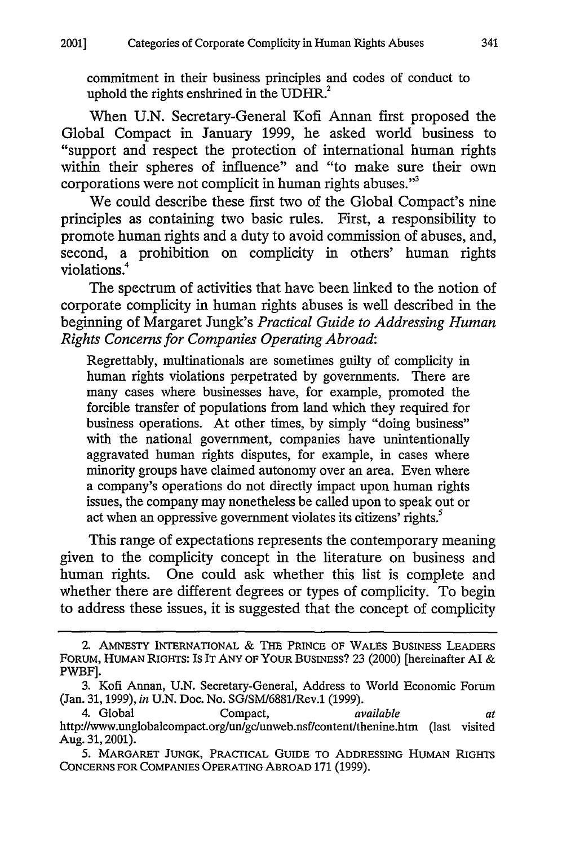commitment in their business principles and codes of conduct to uphold the rights enshrined in the UDHR.<sup>2</sup>

When U.N. Secretary-General Kofi Annan first proposed the Global Compact in January 1999, he asked world business to "support and respect the protection of international human rights within their spheres of influence" and "to make sure their own corporations were not complicit in human rights abuses. $"$ 

We could describe these first two of the Global Compact's nine principles as containing two basic rules. First, a responsibility to promote human rights and a duty to avoid commission of abuses, and, second, a prohibition on complicity in others' human rights violations.4

The spectrum of activities that have been linked to the notion of corporate complicity in human rights abuses is well described in the beginning of Margaret Jungk's *Practical Guide to Addressing Human Rights Concerns for Companies Operating Abroad:*

Regrettably, multinationals are sometimes guilty of complicity in human rights violations perpetrated by governments. There are many cases where businesses have, for example, promoted the forcible transfer of populations from land which they required for business operations. At other times, by simply "doing business" with the national government, companies have unintentionally aggravated human rights disputes, for example, in cases where minority groups have claimed autonomy over an area. Even where a company's operations do not directly impact upon human rights issues, the company may nonetheless be called upon to speak out or act when an oppressive government violates its citizens' rights.<sup>5</sup>

This range of expectations represents the contemporary meaning given to the complicity concept in the literature on business and human rights. One could ask whether this list is complete and whether there are different degrees or types of complicity. To begin to address these issues, it is suggested that the concept of complicity

**<sup>2.</sup>** AMNESTY INTERNATIONAL & THE PRINCE OF WALES BUSINESS LEADERS FORUM, HUMAN **RIGHTS:** Is IT **ANY** OF YOUR BUSINESS? 23 (2000) [hereinafter **Al** & PWBF].

<sup>3.</sup> Kofi Annan, U.N. Secretary-General, Address to World Economic Forum (Jan. 31,1999), *in* U.N. Doc. No. SG/SM/6881/Rev.1 (1999).

<sup>4.</sup> Global Compact, *available at* http://www.unglobalcompact.org/un/gc/unweb.nsf/content/thenine.htm (last visited Aug. 31,2001).

<sup>5.</sup> MARGARET **JUNGK,** PRACTICAL GUIDE TO **ADDRESSING** HUMAN **RIGHTS CONCERNS** FOR COMPANIES OPERATING ABROAD 171 (1999).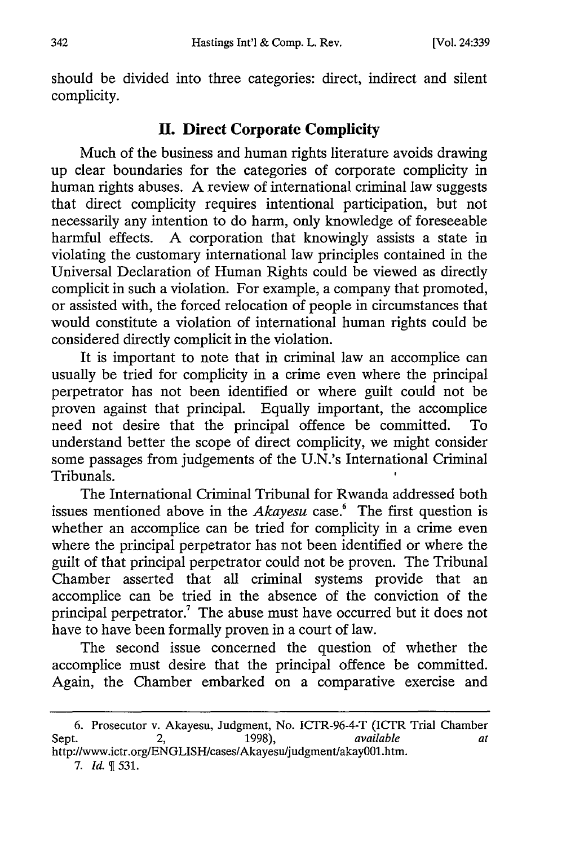should be divided into three categories: direct, indirect and silent complicity.

## **II. Direct Corporate Complicity**

Much of the business and human rights literature avoids drawing up clear boundaries for the categories of corporate complicity in human rights abuses. A review of international criminal law suggests that direct complicity requires intentional participation, but not necessarily any intention to do harm, only knowledge of foreseeable harmful effects. A corporation that knowingly assists a state in violating the customary international law principles contained in the Universal Declaration of Human Rights could be viewed as directly complicit in such a violation. For example, a company that promoted, or assisted with, the forced relocation of people in circumstances that would constitute a violation of international human rights could be considered directly complicit in the violation.

It is important to note that in criminal law an accomplice can usually be tried for complicity in a crime even where the principal perpetrator has not been identified or where guilt could not be proven against that principal. Equally important, the accomplice need not desire that the principal offence be committed. To understand better the scope of direct complicity, we might consider some passages from judgements of the U.N.'s International Criminal Tribunals.

The International Criminal Tribunal for Rwanda addressed both issues mentioned above in the *Akayesu* case.<sup>6</sup> The first question is whether an accomplice can be tried for complicity in a crime even where the principal perpetrator has not been identified or where the guilt of that principal perpetrator could not be proven. The Tribunal Chamber asserted that all criminal systems provide that an accomplice can be tried in the absence of the conviction of the principal perpetrator.<sup>7</sup> The abuse must have occurred but it does not have to have been formally proven in a court of law.

The second issue concerned the question of whether the accomplice must desire that the principal offence be committed. Again, the Chamber embarked on a comparative exercise and

<sup>6.</sup> Prosecutor v. Akayesu, Judgment, No. ICTR-96-4-T (ICTR Trial Chamber Sept. 2, 1998), *available at* Sept. 2, 2, 1998), Sept. *available*<br>http://www.ictr.org/ENGLISH/cases/Akayesu/judgment/akay001.htm.

<sup>7.</sup> *Id.*  $\sqrt{9}$  531.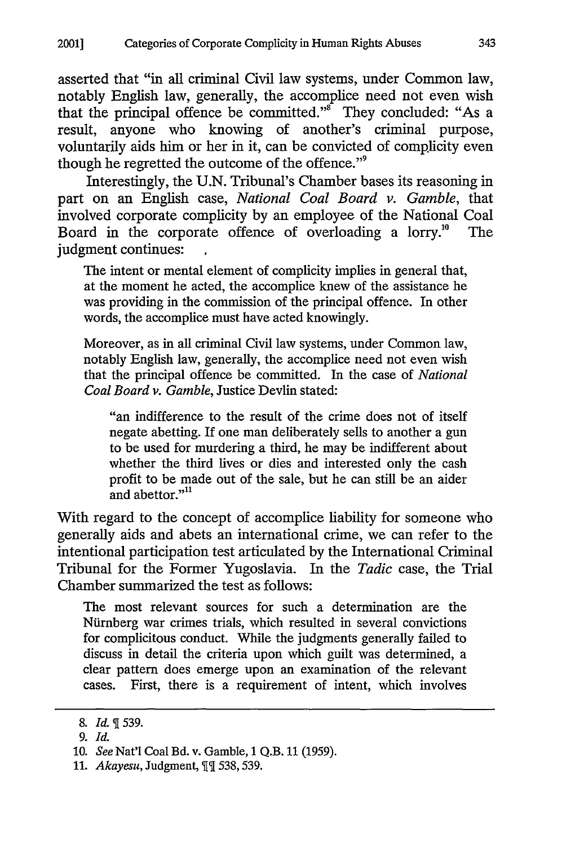asserted that "in all criminal Civil law systems, under Common law, notably English law, generally, the accomplice need not even wish that the principal offence be committed."<sup>8</sup> They concluded: "As a result, anyone who knowing of another's criminal purpose, voluntarily aids him or her in it, can be convicted of complicity even though he regretted the outcome of the offence."'

Interestingly, the U.N. Tribunal's Chamber bases its reasoning in part on an English case, *National Coal Board v. Gamble,* that involved corporate complicity by an employee of the National Coal Board in the corporate offence of overloading a lorry." The judgment continues:

The intent or mental element of complicity implies in general that, at the moment he acted, the accomplice knew of the assistance he was providing in the commission of the principal offence. In other words, the accomplice must have acted knowingly.

Moreover, as in all criminal Civil law systems, under Common law, notably English law, generally, the accomplice need not even wish that the principal offence be committed. In the case of *National Coal Board v. Gamble,* Justice Devlin stated:

"an indifference to the result of the crime does not of itself negate abetting. If one man deliberately sells to another a gun to be used for murdering a third, he may be indifferent about whether the third lives or dies and interested only the cash profit to be made out of the sale, but he can still be an aider and abettor."<sup>11</sup>

With regard to the concept of accomplice liability for someone who generally aids and abets an international crime, we can refer to the intentional participation test articulated by the International Criminal Tribunal for the Former Yugoslavia. In the *Tadic* case, the Trial Chamber summarized the test as follows:

The most relevant sources for such a determination are the Niimberg war crimes trials, which resulted in several convictions for complicitous conduct. While the judgments generally failed to discuss in detail the criteria upon which guilt was determined, a clear pattern does emerge upon an examination of the relevant cases. First, there is a requirement of intent, which involves

<sup>8.</sup> *Id.* 539.

*<sup>9.</sup> Id.*

<sup>10.</sup> *See* Nat'l Coal Bd. v. Gamble, 1 Q.B. 11 (1959).

<sup>11.</sup> *Akayesu*, Judgment, II 538, 539.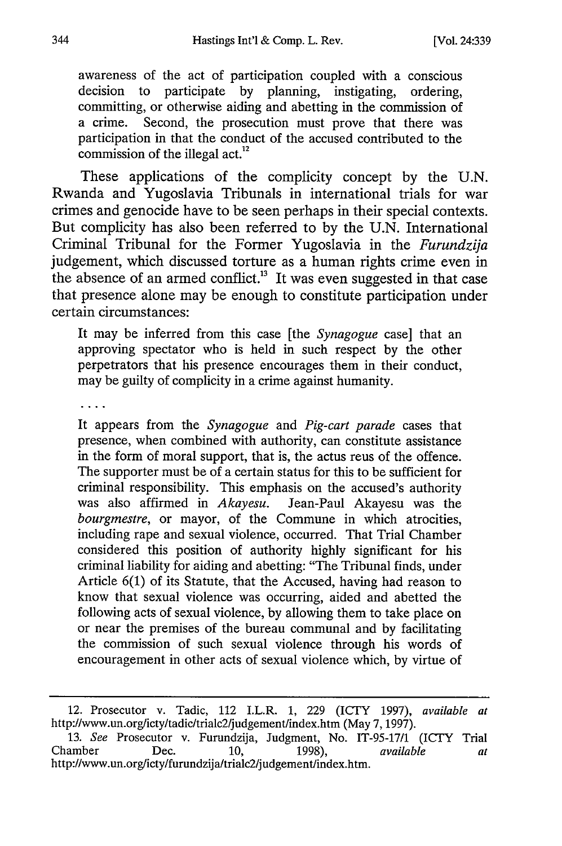awareness of the act of participation coupled with a conscious decision to participate by planning, instigating, ordering, committing, or otherwise aiding and abetting in the commission of a crime. Second, the prosecution must prove that there was participation in that the conduct of the accused contributed to the commission of the illegal act.<sup>12</sup>

These applications of the complicity concept by the U.N. Rwanda and Yugoslavia Tribunals in international trials for war crimes and genocide have to be seen perhaps in their special contexts. But complicity has also been referred to by the U.N. International Criminal Tribunal for the Former Yugoslavia in the *Furundzija* judgement, which discussed torture as a human rights crime even in the absence of an armed conflict.<sup>13</sup> It was even suggested in that case that presence alone may be enough to constitute participation under certain circumstances:

It may be inferred from this case [the *Synagogue* case] that an approving spectator who is held in such respect by the other perpetrators that his presence encourages them in their conduct, may be guilty of complicity in a crime against humanity.

It appears from the *Synagogue* and *Pig-cart parade* cases that presence, when combined with authority, can constitute assistance in the form of moral support, that is, the actus reus of the offence. The supporter must be of a certain status for this to be sufficient for criminal responsibility. This emphasis on the accused's authority was also affirmed in *Akayesu.* Jean-Paul Akayesu was the *bourgmestre,* or mayor, of the Commune in which atrocities, including rape and sexual violence, occurred. That Trial Chamber considered this position of authority highly significant for his criminal liability for aiding and abetting: "The Tribunal finds, under Article 6(1) of its Statute, that the Accused, having had reason to know that sexual violence was occurring, aided and abetted the following acts of sexual violence, by allowing them to take place on or near the premises of the bureau communal and by facilitating the commission of such sexual violence through his words of encouragement in other acts of sexual violence which, by virtue of

<sup>12.</sup> Prosecutor v. Tadic, 112 I.L.R. 1, 229 (ICrY 1997), *available at* http://www.un.org/icty/tadic/trialc2/judgement/index.htm (May 7, 1997). 13. *See* Prosecutor v. Furundzija, Judgment, No. IT-95-17/1 (ICTY Trial

Chamber Dec. 10, 1998), *available at* Chamber Dec. 10, 1998),<br>http://www.un.org/icty/furundzija/trialc2/judgement/index.htm.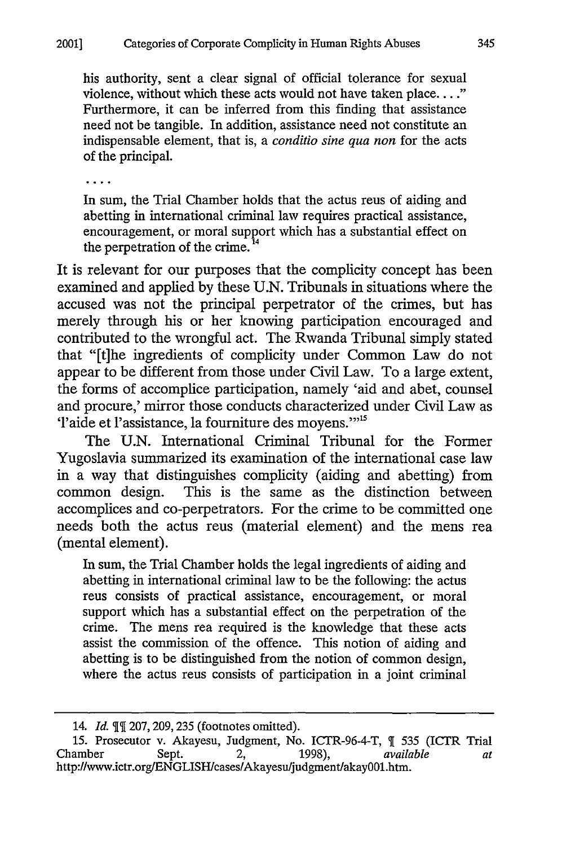his authority, sent a clear signal of official tolerance for sexual violence, without which these acts would not have taken place...." Furthermore, it can be inferred from this finding that assistance need not be tangible. In addition, assistance need not constitute an indispensable element, that is, a *conditio sine qua non* for the acts of the principal.

. . . .

In sum, the Trial Chamber holds that the actus reus of aiding and abetting in international criminal law requires practical assistance, encouragement, or moral support which has a substantial effect on the perpetration of the crime.

It is relevant for our purposes that the complicity concept has been examined and applied by these U.N. Tribunals in situations where the accused was not the principal perpetrator of the crimes, but has merely through his or her knowing participation encouraged and contributed to the wrongful act. The Rwanda Tribunal simply stated that "[t]he ingredients of complicity under Common Law do not appear to be different from those under Civil Law. To a large extent, the forms of accomplice participation, namely 'aid and abet, counsel and procure,' mirror those conducts characterized under Civil Law as Taide et l'assistance, la fourniture des moyens."<sup>15</sup>

The U.N. International Criminal Tribunal for the Former Yugoslavia summarized its examination of the international case law in a way that distinguishes complicity (aiding and abetting) from common design. This is the same as the distinction between accomplices and co-perpetrators. For the crime to be committed one needs both the actus reus (material element) and the mens rea (mental element).

In sum, the Trial Chamber holds the legal ingredients of aiding and abetting in international criminal law to be the following: the actus reus consists of practical assistance, encouragement, or moral support which has a substantial effect on the perpetration of the crime. The mens rea required is the knowledge that these acts assist the commission of the offence. This notion of aiding and abetting is to be distinguished from the notion of common design, where the actus reus consists of participation in a joint criminal

<sup>14.</sup> *Id.* 207,209,235 (footnotes omitted).

<sup>15.</sup> Prosecutor v. Akayesu, Judgment, No. ICTR-96-4-T, ¶ 535 (ICTR Trial Chamber Sept. 2, 1998), *available at* http://www.ictr.org/ENGLISH/cases/Akayesu/judgment/akay001.htm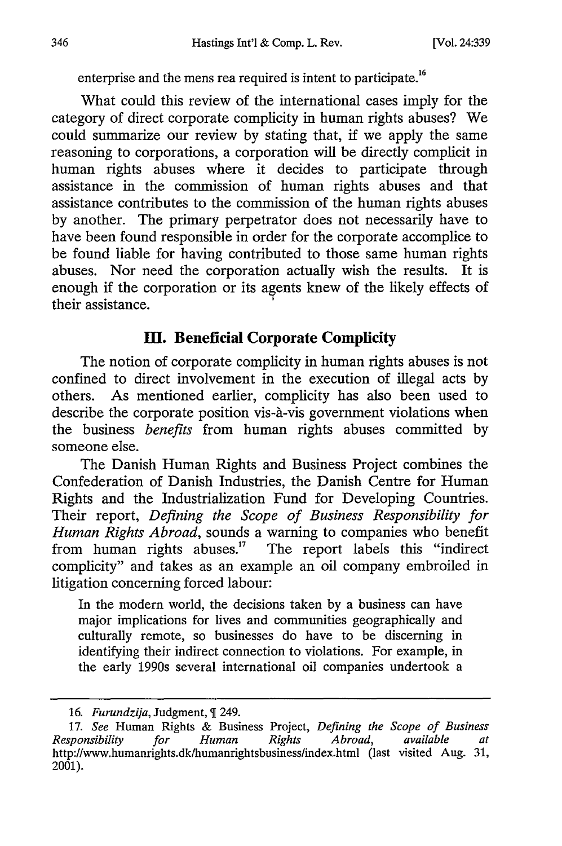enterprise and the mens rea required is intent to participate.<sup>16</sup>

What could this review of the international cases imply for the category of direct corporate complicity in human rights abuses? We could summarize our review by stating that, if we apply the same reasoning to corporations, a corporation will be directly complicit in human rights abuses where it decides to participate through assistance in the commission of human rights abuses and that assistance contributes to the commission of the human rights abuses by another. The primary perpetrator does not necessarily have to have been found responsible in order for the corporate accomplice to be found liable for having contributed to those same human rights abuses. Nor need the corporation actually wish the results. It is enough if the corporation or its agents knew of the likely effects of their assistance.

## **M. Beneficial Corporate Complicity**

The notion of corporate complicity in human rights abuses is not confined to direct involvement in the execution of illegal acts **by** others. As mentioned earlier, complicity has also been used to describe the corporate position vis-à-vis government violations when the business *benefits* from human rights abuses committed **by** someone else.

The Danish Human Rights and Business Project combines the Confederation of Danish Industries, the Danish Centre for Human Rights and the Industrialization Fund for Developing Countries. Their report, *Defining the Scope of Business Responsibility for Human Rights Abroad,* sounds a warning to companies who benefit from human rights abuses.<sup>17</sup> The report labels this "indirect complicity" and takes as an example an oil company embroiled in litigation concerning forced labour:

In the modern world, the decisions taken by a business can have major implications for lives and communities geographically and culturally remote, so businesses do have to be discerning in identifying their indirect connection to violations. For example, in the early 1990s several international oil companies undertook a

<sup>16.</sup> *Furundzija*, Judgment, ¶ 249.

<sup>17.</sup> *See* Human Rights & Business Project, *Defining the Scope of Business Responsibility for Human Rights Abroad, available at* http://www.humanrights.dk/humanrightsbusiness/index.html (last visited Aug. 31, 2001).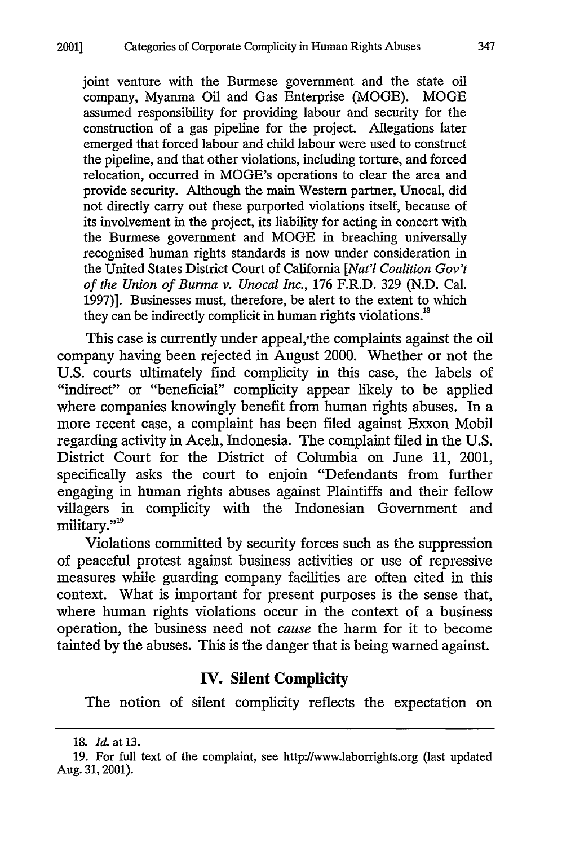joint venture with the Burmese government and the state oil company, Myanma Oil and Gas Enterprise (MOGE). MOGE assumed responsibility for providing labour and security for the construction of a gas pipeline for the project. Allegations later emerged that forced labour and child labour were used to construct the pipeline, and that other violations, including torture, and forced relocation, occurred in MOGE's operations to clear the area and provide security. Although the main Western partner, Unocal, did not directly carry out these purported violations itself, because of its involvement in the project, its liability for acting in concert with the Burmese government and MOGE in breaching universally recognised human rights standards is now under consideration in the United States District Court of California *[Nat'l Coalition Gov't of the Union of Burma v. Unocal Inc.,* 176 F.R.D. 329 (N.D. Cal. 1997)]. Businesses must, therefore, be alert to the extent to which they can be indirectly complicit in human rights violations.<sup>18</sup>

This case is currently under appeal,'the complaints against the oil company having been rejected in August 2000. Whether or not the U.S. courts ultimately find complicity in this case, the labels of "indirect" or "beneficial" complicity appear likely to be applied where companies knowingly benefit from human rights abuses. In a more recent case, a complaint has been filed against Exxon Mobil regarding activity in Aceh, Indonesia. The complaint filed in the U.S. District Court for the District of Columbia on June 11, 2001, specifically asks the court to enjoin "Defendants from further engaging in human rights abuses against Plaintiffs and their fellow villagers in complicity with the Indonesian Government and military."<sup>19</sup>

Violations committed by security forces such as the suppression of peaceful protest against business activities or use of repressive measures while guarding company facilities are often cited in this context. What is important for present purposes is the sense that, where human rights violations occur in the context of a business operation, the business need not *cause* the harm for it to become tainted by the abuses. This is the danger that is being warned against.

#### **IV. Silent Complicity**

The notion of silent complicity reflects the expectation on

**<sup>18.</sup>** *Id.* at **13.**

**<sup>19.</sup>** For full text of the complaint, see http://www.laborrights.org (last updated Aug. **31,2001).**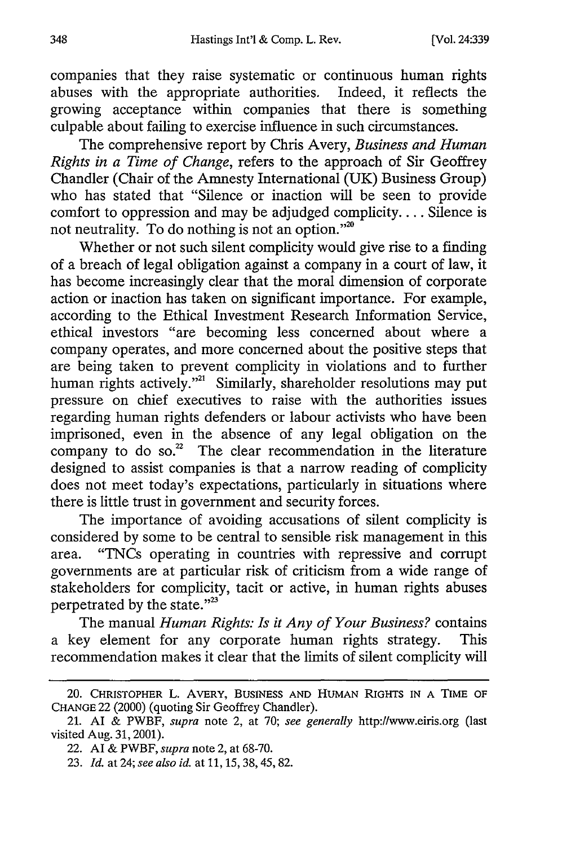companies that they raise systematic or continuous human rights abuses with the appropriate authorities. Indeed, it reflects the growing acceptance within companies that there is something culpable about failing to exercise influence in such circumstances.

The comprehensive report by Chris Avery, *Business and Human Rights in a Time of Change,* refers to the approach of Sir Geoffrey Chandler (Chair of the Amnesty International (UK) Business Group) who has stated that "Silence or inaction will be seen to provide comfort to oppression and may be adjudged complicity.... Silence is not neutrality. To do nothing is not an option."<sup>20</sup>

Whether or not such silent complicity would give rise to a finding of a breach of legal obligation against a company in a court of law, it has become increasingly clear that the moral dimension of corporate action or inaction has taken on significant importance. For example, according to the Ethical Investment Research Information Service, ethical investors "are becoming less concerned about where a company operates, and more concerned about the positive steps that are being taken to prevent complicity in violations and to further human rights actively."<sup>21</sup> Similarly, shareholder resolutions may put pressure on chief executives to raise with the authorities issues regarding human rights defenders or labour activists who have been imprisoned, even in the absence of any legal obligation on the company to do so. $2^2$  The clear recommendation in the literature designed to assist companies is that a narrow reading of complicity does not meet today's expectations, particularly in situations where there is little trust in government and security forces.

The importance of avoiding accusations of silent complicity is considered by some to be central to sensible risk management in this area. "TNCs operating in countries with repressive and corrupt governments are at particular risk of criticism from a wide range of stakeholders for complicity, tacit or active, in human rights abuses perpetrated by the state."<sup>23</sup>

The manual *Human Rights: Is it Any of Your Business?* contains a key element for any corporate human rights strategy. This recommendation makes it clear that the limits of silent complicity will

<sup>20.</sup> CHRISTOPHER L. AVERY, **BUSINESS** AND **HUMAN** RIGHTS **IN A** TIME OF **CHANGE** 22 (2000) (quoting Sir Geoffrey Chandler).

<sup>21.</sup> AI & PWBF, *supra* note 2, at 70; *see generally* http://www.eiris.org (last visited Aug. 31, 2001).

<sup>22.</sup> AI & PWBF, *supra* note 2, at 68-70.

<sup>23.</sup> *Id.* at 24; *see also id.* at 11, 15, **38,** 45, 82.